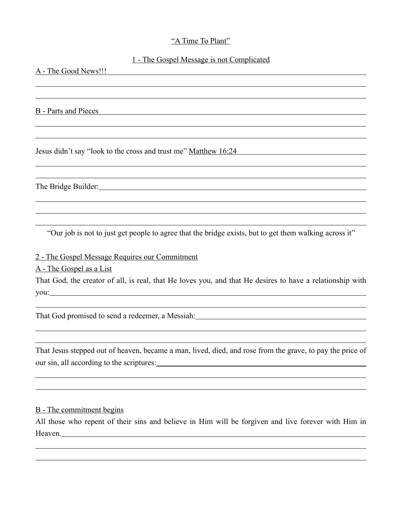## "A Time To Plant"

## 1 - The Gospel Message is not Complicated

A - The Good News!!!

B - Parts and Pieces

 $\overline{a}$ 

 $\overline{a}$ 

 $\overline{a}$ 

 $\overline{a}$ 

 $\overline{a}$ 

 $\overline{a}$  $\overline{a}$ 

Jesus didn't say "look to the cross and trust me" Matthew 16:24

The Bridge Builder:

"Our job is not to just get people to agree that the bridge exists, but to get them walking across it"

2 - The Gospel Message Requires our Commitment

A - The Gospel as a List

That God, the creator of all, is real, that He loves you, and that He desires to have a relationship with you:

That God promised to send a redeemer, a Messiah:

That Jesus stepped out of heaven, became a man, lived, died, and rose from the grave, to pay the price of our sin, all according to the scriptures:<br>
<u>examples</u> and the scriptures:  $\frac{1}{2}$ 

## B - The commitment begins

All those who repent of their sins and believe in Him will be forgiven and live forever with Him in Heaven.